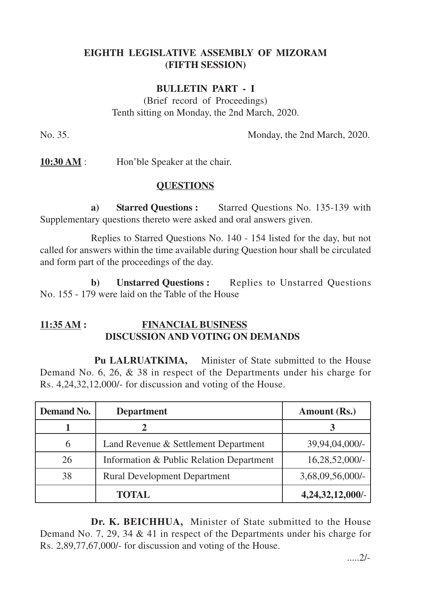# **EIGHTH LEGISLATIVE ASSEMBLY OF MIZORAM (FIFTH SESSION)**

### **BULLETIN PART - I**

(Brief record of Proceedings) Tenth sitting on Monday, the 2nd March, 2020.

No. 35. Monday, the 2nd March, 2020.

**10:30 AM** : Hon'ble Speaker at the chair.

### **QUESTIONS**

**a) Starred Questions :** Starred Questions No. 135-139 with Supplementary questions thereto were asked and oral answers given.

Replies to Starred Questions No. 140 - 154 listed for the day, but not called for answers within the time available during Question hour shall be circulated and form part of the proceedings of the day.

**b) Unstarred Questions :** Replies to Unstarred Questions No. 155 - 179 were laid on the Table of the House

## **11:35 AM : FINANCIAL BUSINESS DISCUSSION AND VOTING ON DEMANDS**

**Pu LALRUATKIMA,** Minister of State submitted to the House Demand No. 6, 26, & 38 in respect of the Departments under his charge for Rs. 4,24,32,12,000/- for discussion and voting of the House.

| <b>Demand No.</b> | <b>Department</b>                        | Amount (Rs.)     |
|-------------------|------------------------------------------|------------------|
|                   | 2                                        |                  |
| 6                 | Land Revenue & Settlement Department     | 39,94,04,000/-   |
| 26                | Information & Public Relation Department | $16,28,52,000/-$ |
| 38                | <b>Rural Development Department</b>      | 3,68,09,56,000/- |
|                   | <b>TOTAL</b>                             | 4,24,32,12,000/- |

**Dr. K. BEICHHUA,** Minister of State submitted to the House Demand No. 7, 29, 34 & 41 in respect of the Departments under his charge for Rs. 2,89,77,67,000/- for discussion and voting of the House.

.....2/-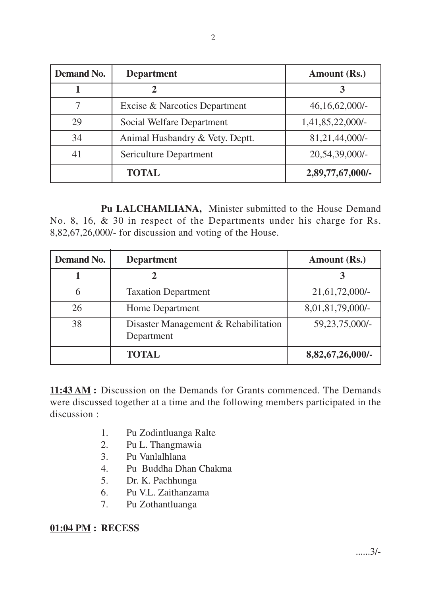| <b>Demand No.</b> | <b>Department</b>               | Amount (Rs.)      |
|-------------------|---------------------------------|-------------------|
|                   |                                 | 3                 |
| 7                 | Excise & Narcotics Department   | $46,16,62,000/$ - |
| 29                | Social Welfare Department       | 1,41,85,22,000/-  |
| 34                | Animal Husbandry & Vety. Deptt. | 81,21,44,000/-    |
| 41                | Sericulture Department          | 20,54,39,000/-    |
|                   | <b>TOTAL</b>                    | 2,89,77,67,000/-  |

**Pu LALCHAMLIANA,** Minister submitted to the House Demand No. 8, 16, & 30 in respect of the Departments under his charge for Rs. 8,82,67,26,000/- for discussion and voting of the House.

| <b>Demand No.</b> | <b>Department</b>                                  | Amount (Rs.)     |
|-------------------|----------------------------------------------------|------------------|
|                   |                                                    |                  |
| 6                 | <b>Taxation Department</b>                         | 21,61,72,000/-   |
| 26                | <b>Home Department</b>                             | 8,01,81,79,000/- |
| 38                | Disaster Management & Rehabilitation<br>Department | 59,23,75,000/-   |
|                   | <b>TOTAL</b>                                       | 8,82,67,26,000/- |

**11:43 AM :** Discussion on the Demands for Grants commenced. The Demands were discussed together at a time and the following members participated in the discussion :

- 1. Pu Zodintluanga Ralte
- 2. Pu L. Thangmawia
- 3. Pu Vanlalhlana
- 4. Pu Buddha Dhan Chakma
- 5. Dr. K. Pachhunga
- 6. Pu V.L. Zaithanzama
- 7. Pu Zothantluanga

**01:04 PM : RECESS**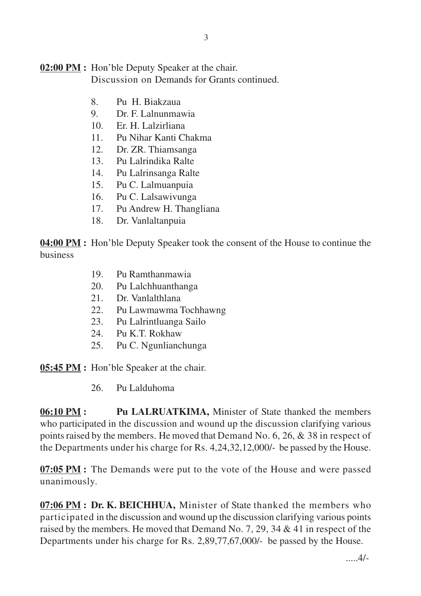#### **02:00 PM :** Hon'ble Deputy Speaker at the chair. Discussion on Demands for Grants continued.

- 8. Pu H. Biakzaua
- 9. Dr. F. Lalnunmawia
- 10. Er. H. Lalzirliana
- 11. Pu Nihar Kanti Chakma
- 12. Dr. ZR. Thiamsanga
- 13. Pu Lalrindika Ralte
- 14. Pu Lalrinsanga Ralte
- 15. Pu C. Lalmuanpuia
- 16. Pu C. Lalsawivunga
- 17. Pu Andrew H. Thangliana
- 18. Dr. Vanlaltanpuia

**04:00 PM :** Hon'ble Deputy Speaker took the consent of the House to continue the business

- 19. Pu Ramthanmawia
- 20. Pu Lalchhuanthanga
- 21. Dr. Vanlalthlana
- 22. Pu Lawmawma Tochhawng
- 23. Pu Lalrintluanga Sailo
- 24. Pu K.T. Rokhaw
- 25. Pu C. Ngunlianchunga

**05:45 PM :** Hon'ble Speaker at the chair.

26. Pu Lalduhoma

**06:10 PM :** Pu LALRUATKIMA, Minister of State thanked the members who participated in the discussion and wound up the discussion clarifying various points raised by the members. He moved that Demand No. 6, 26, & 38 in respect of the Departments under his charge for Rs. 4,24,32,12,000/- be passed by the House.

**07:05 PM :** The Demands were put to the vote of the House and were passed unanimously.

**07:06 PM : Dr. K. BEICHHUA,** Minister of State thanked the members who participated in the discussion and wound up the discussion clarifying various points raised by the members. He moved that Demand No. 7, 29, 34 & 41 in respect of the Departments under his charge for Rs. 2,89,77,67,000/- be passed by the House.